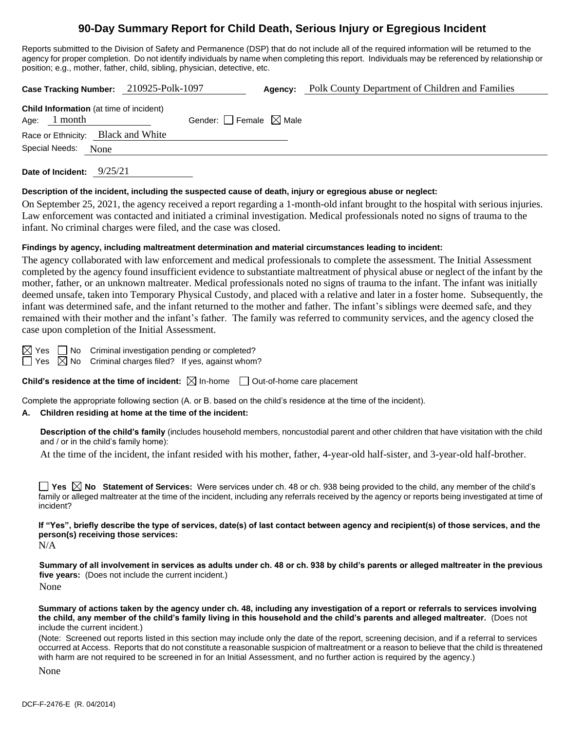# **90-Day Summary Report for Child Death, Serious Injury or Egregious Incident**

Reports submitted to the Division of Safety and Permanence (DSP) that do not include all of the required information will be returned to the agency for proper completion. Do not identify individuals by name when completing this report. Individuals may be referenced by relationship or position; e.g., mother, father, child, sibling, physician, detective, etc.

| Case Tracking Number: 210925-Polk-1097                           |                                 | Agency: | Polk County Department of Children and Families |
|------------------------------------------------------------------|---------------------------------|---------|-------------------------------------------------|
| <b>Child Information</b> (at time of incident)<br>Age: $1$ month | Gender: Female $\boxtimes$ Male |         |                                                 |
| Race or Ethnicity: Black and White                               |                                 |         |                                                 |
| Special Needs:<br>None                                           |                                 |         |                                                 |
| 9/25/21<br>Date of Incident:                                     |                                 |         |                                                 |

**Description of the incident, including the suspected cause of death, injury or egregious abuse or neglect:**

On September 25, 2021, the agency received a report regarding a 1-month-old infant brought to the hospital with serious injuries. Law enforcement was contacted and initiated a criminal investigation. Medical professionals noted no signs of trauma to the infant. No criminal charges were filed, and the case was closed.

#### **Findings by agency, including maltreatment determination and material circumstances leading to incident:**

The agency collaborated with law enforcement and medical professionals to complete the assessment. The Initial Assessment completed by the agency found insufficient evidence to substantiate maltreatment of physical abuse or neglect of the infant by the mother, father, or an unknown maltreater. Medical professionals noted no signs of trauma to the infant. The infant was initially deemed unsafe, taken into Temporary Physical Custody, and placed with a relative and later in a foster home. Subsequently, the infant was determined safe, and the infant returned to the mother and father. The infant's siblings were deemed safe, and they remained with their mother and the infant's father. The family was referred to community services, and the agency closed the case upon completion of the Initial Assessment.

 $\boxtimes$  Yes  $\Box$  No Criminal investigation pending or completed?  $\Box$  Yes  $\boxtimes$  No Criminal charges filed? If yes, against whom?

**Child's residence at the time of incident:**  $\boxtimes$  In-home  $\Box$  Out-of-home care placement

Complete the appropriate following section (A. or B. based on the child's residence at the time of the incident).

#### **A. Children residing at home at the time of the incident:**

**Description of the child's family** (includes household members, noncustodial parent and other children that have visitation with the child and / or in the child's family home):

At the time of the incident, the infant resided with his mother, father, 4-year-old half-sister, and 3-year-old half-brother.

**Yes No Statement of Services:** Were services under ch. 48 or ch. 938 being provided to the child, any member of the child's family or alleged maltreater at the time of the incident, including any referrals received by the agency or reports being investigated at time of incident?

**If "Yes", briefly describe the type of services, date(s) of last contact between agency and recipient(s) of those services, and the person(s) receiving those services:**

 $N/A$ 

**Summary of all involvement in services as adults under ch. 48 or ch. 938 by child's parents or alleged maltreater in the previous five years:** (Does not include the current incident.)

None

**Summary of actions taken by the agency under ch. 48, including any investigation of a report or referrals to services involving the child, any member of the child's family living in this household and the child's parents and alleged maltreater.** (Does not include the current incident.)

(Note: Screened out reports listed in this section may include only the date of the report, screening decision, and if a referral to services occurred at Access. Reports that do not constitute a reasonable suspicion of maltreatment or a reason to believe that the child is threatened with harm are not required to be screened in for an Initial Assessment, and no further action is required by the agency.)

None